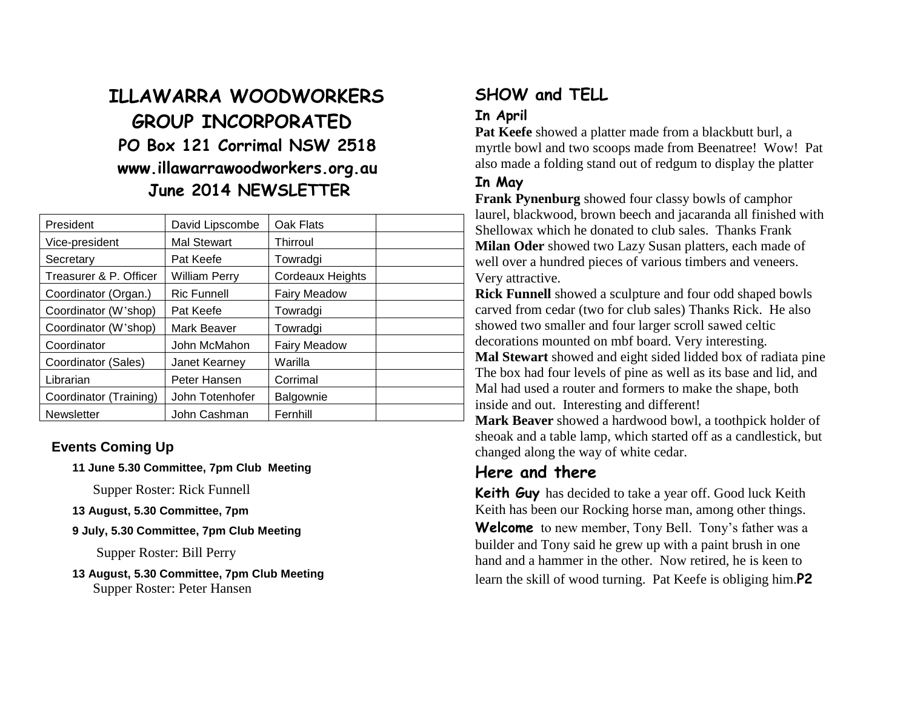# **ILLAWARRA WOODWORKERS GROUP INCORPORATED PO Box 121 Corrimal NSW 2518 www.illawarrawoodworkers.org.au June 2014 NEWSLETTER**

| President              | David Lipscombe      | Oak Flats               |
|------------------------|----------------------|-------------------------|
| Vice-president         | <b>Mal Stewart</b>   | Thirroul                |
| Secretary              | Pat Keefe            | Towradgi                |
| Treasurer & P. Officer | <b>William Perry</b> | <b>Cordeaux Heights</b> |
| Coordinator (Organ.)   | <b>Ric Funnell</b>   | <b>Fairy Meadow</b>     |
| Coordinator (W'shop)   | Pat Keefe            | Towradgi                |
| Coordinator (W'shop)   | Mark Beaver          | Towradgi                |
| Coordinator            | John McMahon         | <b>Fairy Meadow</b>     |
| Coordinator (Sales)    | Janet Kearney        | Warilla                 |
| Librarian              | Peter Hansen         | Corrimal                |
| Coordinator (Training) | John Totenhofer      | Balgownie               |
| <b>Newsletter</b>      | John Cashman         | Fernhill                |

#### **Events Coming Up**

**11 June 5.30 Committee, 7pm Club Meeting**

Supper Roster: Rick Funnell

- **13 August, 5.30 Committee, 7pm**
- **9 July, 5.30 Committee, 7pm Club Meeting**

Supper Roster: Bill Perry

**13 August, 5.30 Committee, 7pm Club Meeting** Supper Roster: Peter Hansen

# **SHOW and TELL**

### **In April**

**Pat Keefe** showed a platter made from a blackbutt burl, a myrtle bowl and two scoops made from Beenatree! Wow! Pat also made a folding stand out of redgum to display the platter

#### **In May**

**Frank Pynenburg** showed four classy bowls of camphor laurel, blackwood, brown beech and jacaranda all finished with Shellowax which he donated to club sales. Thanks Frank **Milan Oder** showed two Lazy Susan platters, each made of well over a hundred pieces of various timbers and veneers. Very attractive.

**Rick Funnell** showed a sculpture and four odd shaped bowls carved from cedar (two for club sales) Thanks Rick. He also showed two smaller and four larger scroll sawed celtic decorations mounted on mbf board. Very interesting. **Mal Stewart** showed and eight sided lidded box of radiata pine The box had four levels of pine as well as its base and lid, and Mal had used a router and formers to make the shape, both inside and out. Interesting and different!

**Mark Beaver** showed a hardwood bowl, a toothpick holder of sheoak and a table lamp, which started off as a candlestick, but changed along the way of white cedar.

#### **Here and there**

**Keith Guy** has decided to take a year off. Good luck Keith Keith has been our Rocking horse man, among other things. **Welcome** to new member, Tony Bell. Tony's father was a builder and Tony said he grew up with a paint brush in one hand and a hammer in the other. Now retired, he is keen to learn the skill of wood turning. Pat Keefe is obliging him.**P2**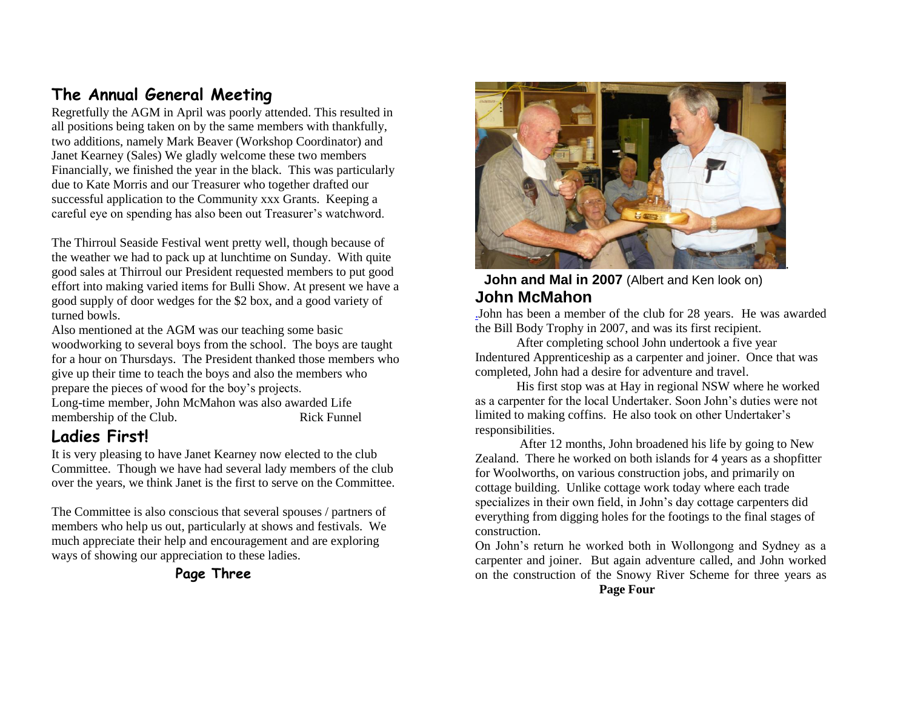# **The Annual General Meeting**

Regretfully the AGM in April was poorly attended. This resulted in all positions being taken on by the same members with thankfully, two additions, namely Mark Beaver (Workshop Coordinator) and Janet Kearney (Sales) We gladly welcome these two members Financially, we finished the year in the black. This was particularly due to Kate Morris and our Treasurer who together drafted our successful application to the Community xxx Grants. Keeping a careful eye on spending has also been out Treasurer's watchword.

The Thirroul Seaside Festival went pretty well, though because of the weather we had to pack up at lunchtime on Sunday. With quite good sales at Thirroul our President requested members to put good effort into making varied items for Bulli Show. At present we have a good supply of door wedges for the \$2 box, and a good variety of turned bowls.

Also mentioned at the AGM was our teaching some basic woodworking to several boys from the school. The boys are taught for a hour on Thursdays. The President thanked those members who give up their time to teach the boys and also the members who prepare the pieces of wood for the boy's projects. Long-time member, John McMahon was also awarded Life membership of the Club. Rick Funnel

## **Ladies First!**

It is very pleasing to have Janet Kearney now elected to the club Committee. Though we have had several lady members of the club over the years, we think Janet is the first to serve on the Committee.

The Committee is also conscious that several spouses / partners of members who help us out, particularly at shows and festivals. We much appreciate their help and encouragement and are exploring ways of showing our appreciation to these ladies.

**Page Three**



#### **John and Mal in 2007** (Albert and Ken look on) **John McMahon**

[.J](../../Club%20people/John%20McMahon-Patrick.doc)ohn has been a member of the club for 28 years. He was awarded the Bill Body Trophy in 2007, and was its first recipient.

After completing school John undertook a five year Indentured Apprenticeship as a carpenter and joiner. Once that was completed, John had a desire for adventure and travel.

His first stop was at Hay in regional NSW where he worked as a carpenter for the local Undertaker. Soon John's duties were not limited to making coffins. He also took on other Undertaker's responsibilities.

After 12 months, John broadened his life by going to New Zealand. There he worked on both islands for 4 years as a shopfitter for Woolworths, on various construction jobs, and primarily on cottage building. Unlike cottage work today where each trade specializes in their own field, in John's day cottage carpenters did everything from digging holes for the footings to the final stages of construction.

On John's return he worked both in Wollongong and Sydney as a carpenter and joiner. But again adventure called, and John worked on the construction of the Snowy River Scheme for three years as **Page Four**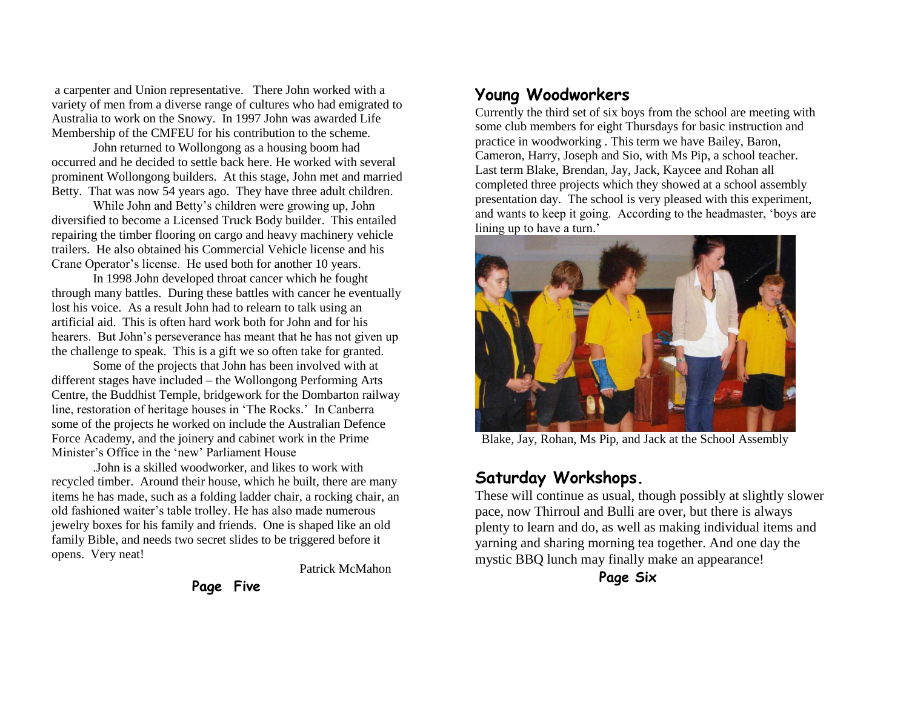a carpenter and Union representative. There John worked with a variety of men from a diverse range of cultures who had emigrated to Australia to work on the Snowy. In 1997 John was awarded Life Membership of the CMFEU for his contribution to the scheme.

John returned to Wollongong as a housing boom had occurred and he decided to settle back here. He worked with several prominent Wollongong builders. At this stage, John met and married Betty. That was now 54 years ago. They have three adult children.

While John and Betty's children were growing up, John diversified to become a Licensed Truck Body builder. This entailed repairing the timber flooring on cargo and heavy machinery vehicle trailers. He also obtained his Commercial Vehicle license and his Crane Operator's license. He used both for another 10 years.

In 1998 John developed throat cancer which he fought through many battles. During these battles with cancer he eventually lost his voice. As a result John had to relearn to talk using an artificial aid. This is often hard work both for John and for his hearers. But John's perseverance has meant that he has not given up the challenge to speak. This is a gift we so often take for granted.

Some of the projects that John has been involved with at different stages have included – the Wollongong Performing Arts Centre, the Buddhist Temple, bridgework for the Dombarton railway line, restoration of heritage houses in 'The Rocks.' In Canberra some of the projects he worked on include the Australian Defence Force Academy, and the joinery and cabinet work in the Prime Minister's Office in the 'new' Parliament House

.John is a skilled woodworker, and likes to work with recycled timber. Around their house, which he built, there are many items he has made, such as a folding ladder chair, a rocking chair, an old fashioned waiter's table trolley. He has also made numerous jewelry boxes for his family and friends. One is shaped like an old family Bible, and needs two secret slides to be triggered before it opens. Very neat!

Patrick McMahon

**Page Five**

# **Young Woodworkers**

Currently the third set of six boys from the school are meeting with some club members for eight Thursdays for basic instruction and practice in woodworking . This term we have Bailey, Baron, Cameron, Harry, Joseph and Sio, with Ms Pip, a school teacher. Last term Blake, Brendan, Jay, Jack, Kaycee and Rohan all completed three projects which they showed at a school assembly presentation day. The school is very pleased with this experiment, and wants to keep it going. According to the headmaster, 'boys are lining up to have a turn.'



Blake, Jay, Rohan, Ms Pip, and Jack at the School Assembly

### **Saturday Workshops.**

These will continue as usual, though possibly at slightly slower pace, now Thirroul and Bulli are over, but there is always plenty to learn and do, as well as making individual items and yarning and sharing morning tea together. And one day the mystic BBQ lunch may finally make an appearance!

**Page Six**